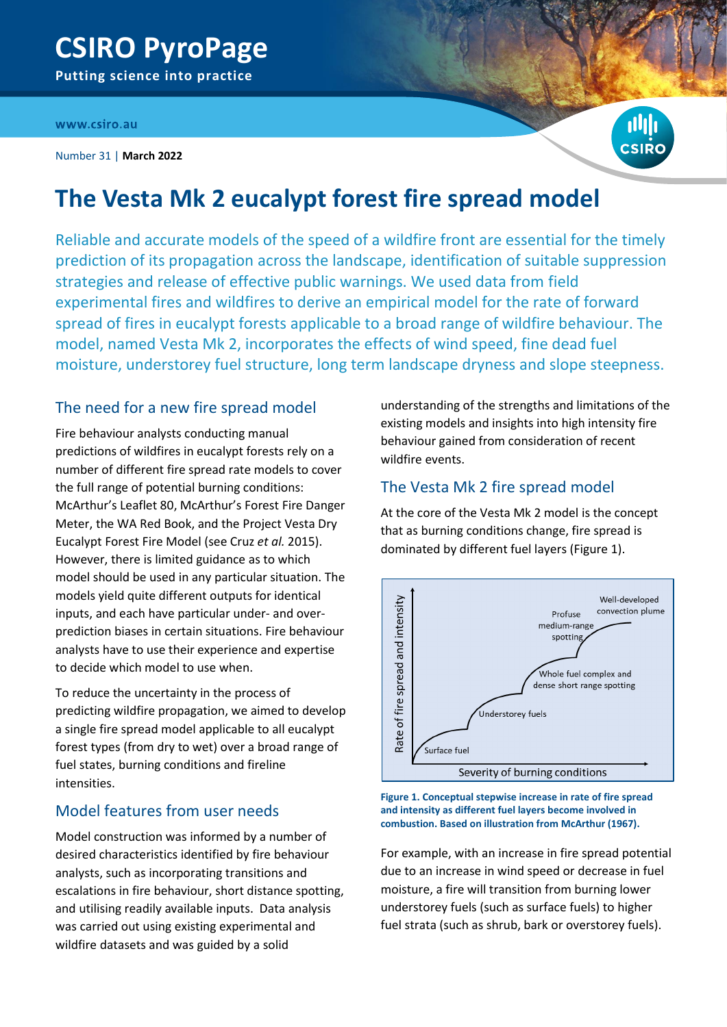## www.csiro.au

Number 31 | **March 2022**



# **The Vesta Mk 2 eucalypt forest fire spread model**

Reliable and accurate models of the speed of a wildfire front are essential for the timely prediction of its propagation across the landscape, identification of suitable suppression strategies and release of effective public warnings. We used data from field experimental fires and wildfires to derive an empirical model for the rate of forward spread of fires in eucalypt forests applicable to a broad range of wildfire behaviour. The model, named Vesta Mk 2, incorporates the effects of wind speed, fine dead fuel moisture, understorey fuel structure, long term landscape dryness and slope steepness.

# The need for a new fire spread model

Fire behaviour analysts conducting manual predictions of wildfires in eucalypt forests rely on a number of different fire spread rate models to cover the full range of potential burning conditions: McArthur's Leaflet 80, McArthur's Forest Fire Danger Meter, the WA Red Book, and the Project Vesta Dry Eucalypt Forest Fire Model (see Cruz *et al.* 2015). However, there is limited guidance as to which model should be used in any particular situation. The models yield quite different outputs for identical inputs, and each have particular under- and overprediction biases in certain situations. Fire behaviour analysts have to use their experience and expertise to decide which model to use when.

To reduce the uncertainty in the process of predicting wildfire propagation, we aimed to develop a single fire spread model applicable to all eucalypt forest types (from dry to wet) over a broad range of fuel states, burning conditions and fireline intensities.

# Model features from user needs

Model construction was informed by a number of desired characteristics identified by fire behaviour analysts, such as incorporating transitions and escalations in fire behaviour, short distance spotting, and utilising readily available inputs. Data analysis was carried out using existing experimental and wildfire datasets and was guided by a solid

understanding of the strengths and limitations of the existing models and insights into high intensity fire behaviour gained from consideration of recent wildfire events.

# The Vesta Mk 2 fire spread model

At the core of the Vesta Mk 2 model is the concept that as burning conditions change, fire spread is dominated by different fuel layers (Figure 1).



**Figure 1. Conceptual stepwise increase in rate of fire spread and intensity as different fuel layers become involved in combustion. Based on illustration from McArthur (1967).**

For example, with an increase in fire spread potential due to an increase in wind speed or decrease in fuel moisture, a fire will transition from burning lower understorey fuels (such as surface fuels) to higher fuel strata (such as shrub, bark or overstorey fuels).